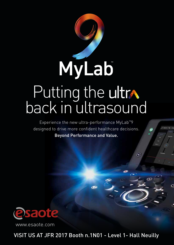

Experience the new ultra-performance MyLab™9 designed to drive more confident healthcare decisions. Beyond Performance and Value.

 $\bm{\Theta}$ 

Ċ



www.esaote.com

VISIT US AT JFR 2017 Booth n.1N01 - Level 1- Hall Neuilly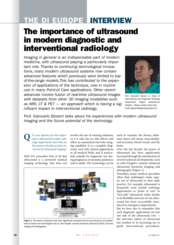## THE DI EUROPE INTERVIEW

## The importance of ultrasound in modern diagnostic and interventional radiology

*Imaging in general is an indispensable part of modern medicine, with ultrasound playing a particularly important role. Thanks to continuing technological innovations, many modern ultrasound systems now contain advanced features which previously were limited to topof-the-range models.This has contributed to the expansion of applications of the technique, now in routine use in many Point-of Care applications. Other recent advances involve fusion of real-time ultrasound images with datasets from other 3D imaging modalities such as MRI, CT & PET — an approach which is having a significant impact in interventional radiology.* 



Prof. Giancarlo Bizzarri is Head of Interventional and Diagnostic Radiology Department, Regina Apostolorum Hospital – Albano Laziale, Rome Italy . Email: gbizzarri@reginaapostolorum.it

*Prof. Giancarlo Bizzarri talks about his experiences with modern ultrasound imaging and the future potential of the technology* 

**Q** *In your opinion just how important is ultrasound in today's radiology departments and what are the main ta+sks that are best carried out by ultrasound imaging ?*

Well, let's remember first of all that ultrasound is a powerful medical imaging technology that does not

involve the use of ionizing radiation, so it is safe, has no side effects, and offers an unmatched real-time imaging capability. It is a complete diagnostic tool with clinical applications in all medical fields, and is particularly suitable for diagnostic use during pregnancy, in neonates, pediatrics and in adults. The technology can be



Figure 1. The power of ultrasound has been significantly increased over the last decade by the development of several new technologies such as color Doppler, contrast-enhanced ultrasound (CEUS), harmonic imaging and elastography.

used to examine the thorax, abdomen, heart, soft tissue, musculoskeletal structures, blood vessels, and the brain.

Over the last decade, the power of ultrasound has been significantly increased through the introduction of several technical developments, such as color-Doppler, contrast enhanced ultrasound, harmonic imaging, and elastography [Figure 1].

Nowadays, many medical specialists other than radiologists make regular use of ultrasound in their daily practice. For example, ultrasound is frequently used outside radiology departments as "point of care" or "bed-side" ultrasound while, thanks to its flexibility and ease-of-use, ultrasound has been successfully introduced in emergency departments.

But we have also to remember that such diagnostic applications are just one side of the ultrasound coin the real-time nature of ultrasound has resulted in its increasing use to guide interventional procedures.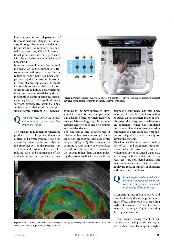For example, in our department of Interventional and Diagnostic Radiology, although the number of diagnostic ultrasound examinations has been reducing over time, 90% of all interventional procedures are now performed with the exclusive or combined use of ultrasound.

In terms of overall usage of ultrasound, the reduction in the number of ultrasound examinations carried out in the radiology department has been compensated by the increase in ultrasound in Point-of-Care applications. It should be noted however that the use of ultrasound in the radiology department has the advantage of cost-efficiency since it is possible to justify specific accessories necessary for particular applications e.g. software,, probes, etc., around a single central system that would not be possible in several different POC systems.

## **Q** *You mentioned ease-of-use of mod-ern ultrasound systems. Just how important is this?*

The constant requirement for increased productivity in hospitals, diagnostic centers and private practices has been one of the main driving forces behind the simplification of the practical use of ultrasound systems. The need for reduced costs and optimization of the available resources has been a huge



Figure 2. Modern ultrasound systems are intuitive and easy to use, with the result that the ultrasound specialist can focus on the patient, rather than on manipulating the system itself.

stimulus to the development of ultrasound instruments, one example being that advanced features which used to be only available on large top-of-the-range systems can now be found on compact and portable devices.

The widespread and growing use of ultrasound has caused industry to focus on design, ergonomics, and ease of use of systems[Figure 2]. The development of intuitive and simple user interfaces has allowed the operator to focus on the patient rather than on manipulating the system itself, with the result that

diagnostic confidence has also been increased. In addition, the introduction of purely digital scanners makes it possible to produce easy-to-use, self-adjusting equipment, which has stimulated the main semiconductor manufacturing companies to begin large-scale production of integrated circuits specially for ultrasound systems.

This has resulted in a further reduction of costs and equipment miniaturization, which in turn has led to more widespread use of advanced diagnostic technology in fields which until a few years ago were considered exotic, such as in ambulances and rescue vehicles, in playgrounds, in military applications and even in space stations.

**Q** *So looking forward now, what are the main emerging developments which are likely have an impact on everyday clinical practice?*

Diagnostic ultrasound is a varied and complex field, and some approaches are more effective than others at providing high-tech answers to current requirements in radiology. Highly promising developments include:

• Non-invasive measurement of tissue elasticity using strain elastography or shear wave techniques is highly



Figure 3. Strain elastography or shear wave techniques are highly promising for the characterization of thyroid, breast, musculoskeletal, prostate, and hepatic lesions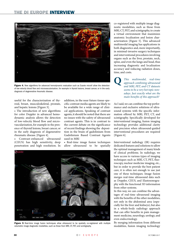

Figure 4. New algorithms for advanced hemodynamic evaluation such as Esaote microV allow the detection of low-velocity blood flow and microvascularisation, for example in thyroid lesions, breast cancer, or in the early diagnosis of degenerative rheumatic disease.

useful for the characterization of thyroid, breast, musculoskeletal, prostate, and hepatic lesions [Figure 3].

• The introduction of new algorithms for color Doppler in advanced hemodynamic analysis allows the detection of low-velocity blood flow and microvascularization, for example in the presence of thyroid lesions, breast cancer, or in the early diagnosis of degenerative rheumatic disease. [Figure 4].

• Contrast-enhanced ultrasound (CEUS) has high sensitivity, deep penetration and high resolution. In

addition, in the near future tissue-specific contrast media agents are likely to be available for a wide range of clinical applications. Speaking of contrast agents, it should be noted that there are no issues with the safety of ultrasound contrast agents. This is in contrast to the current debate on the significance of recent findings showing the deposition in the brain of gadolinium from Gadolinium Based Contrast Agents used in MRI

• Real-time image fusion techniques allow ultrasound to be spatially



Figure 5 Real-time image fusion techniques allow ultrasound to be spatially co-registered with multiple volumetric image diagnostic modalities, such as those from MRI, CT, PET, and scintigraphy,

co-registered with multiple image diagnostic modalities, such as those from MRI, CT, PET, and scintigraphy, to create a virtual environment that maximizes anatomic localization and lesion characterization [Figure 5]. This advanced multimodal imaging has applications in both diagnostics and, more importantly, in minimal-invasive surgery techniques and interventional procedures involving organs such as the liver, prostate, neck, spine, and even the lungs and head, thus increasing diagnostic and localization accuracy and reducing radiation doses, time, and costs.

**Q** *This multimodal, real-time approach combining ultrasound and MRI, PET, and CT datasets seems to be a very hot topic nowadays. Just exactly what are the main benefits of this approach?*

As I said, we can combine the top performance and exclusive solutions of ultrasound systems with the specific information offered by MRI, PET, CT, and scintigraphy. Specifically developed for interventional imaging, fusion imaging technology provides additional clarity and precision when ultrasound-guided interventional procedures are required [Figure 6].

Interventional radiology (IR) requires dedicated features and solutions to allow the optimal management of many kinds of clinical problems. In radiology, we have access to various types of imaging techniques such as MRI, CT, PET, fluoroscopy, nuclear medicine imaging, etc., but in order to provide the best patient care, it is often not enough to use just one of these techniques. Image fusion merges real-time ultrasound data such as Doppler, CEUS, and Elastosonography with the functional 3D information from other systems.

In this way, we can combine the advantages of real-time ultrasound imaging with the benefits of the other modalities, not only in the abdominal area (especially for the liver and kidneys), but also in a whole-body radiology approach that can offer benefits in pain management medicine, neurology, urology, and even endocrinology.

By merging information from different modalities, fusion imaging technology